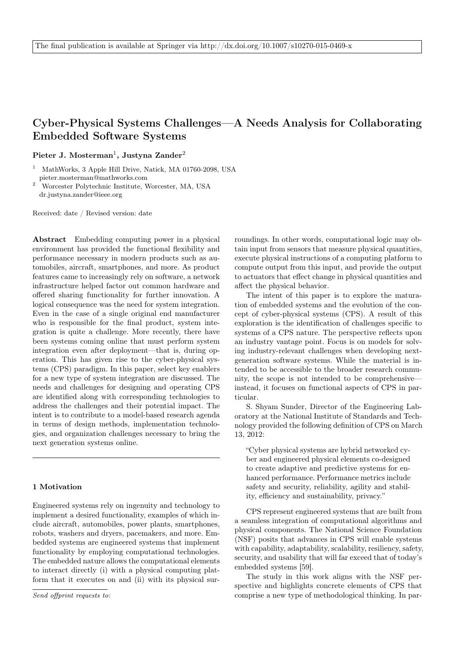# Cyber-Physical Systems Challenges—A Needs Analysis for Collaborating Embedded Software Systems

 ${\rm Pieter\ J.}\ {\rm Mosterman}^1,$  Justyna  ${\rm Zander}^2$ 

<sup>1</sup> MathWorks, 3 Apple Hill Drive, Natick, MA 01760-2098, USA pieter.mosterman@mathworks.com

<sup>2</sup> Worcester Polytechnic Institute, Worcester, MA, USA dr.justyna.zander@ieee.org

Received: date / Revised version: date

Abstract Embedding computing power in a physical environment has provided the functional flexibility and performance necessary in modern products such as automobiles, aircraft, smartphones, and more. As product features came to increasingly rely on software, a network infrastructure helped factor out common hardware and offered sharing functionality for further innovation. A logical consequence was the need for system integration. Even in the case of a single original end manufacturer who is responsible for the final product, system integration is quite a challenge. More recently, there have been systems coming online that must perform system integration even after deployment—that is, during operation. This has given rise to the cyber-physical systems (CPS) paradigm. In this paper, select key enablers for a new type of system integration are discussed. The needs and challenges for designing and operating CPS are identified along with corresponding technologies to address the challenges and their potential impact. The intent is to contribute to a model-based research agenda in terms of design methods, implementation technologies, and organization challenges necessary to bring the next generation systems online.

# 1 Motivation

Engineered systems rely on ingenuity and technology to implement a desired functionality, examples of which include aircraft, automobiles, power plants, smartphones, robots, washers and dryers, pacemakers, and more. Embedded systems are engineered systems that implement functionality by employing computational technologies. The embedded nature allows the computational elements to interact directly (i) with a physical computing platform that it executes on and (ii) with its physical sur-

Send offprint requests to:

roundings. In other words, computational logic may obtain input from sensors that measure physical quantities, execute physical instructions of a computing platform to compute output from this input, and provide the output to actuators that effect change in physical quantities and affect the physical behavior.

The intent of this paper is to explore the maturation of embedded systems and the evolution of the concept of cyber-physical systems (CPS). A result of this exploration is the identification of challenges specific to systems of a CPS nature. The perspective reflects upon an industry vantage point. Focus is on models for solving industry-relevant challenges when developing nextgeneration software systems. While the material is intended to be accessible to the broader research community, the scope is not intended to be comprehensive instead, it focuses on functional aspects of CPS in particular.

S. Shyam Sunder, Director of the Engineering Laboratory at the National Institute of Standards and Technology provided the following definition of CPS on March 13, 2012:

"Cyber physical systems are hybrid networked cyber and engineered physical elements co-designed to create adaptive and predictive systems for enhanced performance. Performance metrics include safety and security, reliability, agility and stability, efficiency and sustainability, privacy."

CPS represent engineered systems that are built from a seamless integration of computational algorithms and physical components. The National Science Foundation (NSF) posits that advances in CPS will enable systems with capability, adaptability, scalability, resiliency, safety, security, and usability that will far exceed that of today's embedded systems [59].

The study in this work aligns with the NSF perspective and highlights concrete elements of CPS that comprise a new type of methodological thinking. In par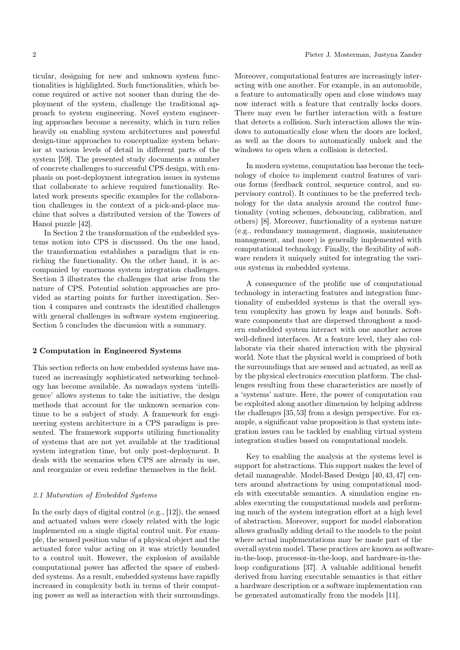ticular, designing for new and unknown system functionalities is highlighted. Such functionalities, which become required or active not sooner than during the deployment of the system, challenge the traditional approach to system engineering. Novel system engineering approaches become a necessity, which in turn relies heavily on enabling system architectures and powerful design-time approaches to conceptualize system behavior at various levels of detail in different parts of the system [59]. The presented study documents a number of concrete challenges to successful CPS design, with emphasis on post-deployment integration issues in systems that collaborate to achieve required functionality. Related work presents specific examples for the collaboration challenges in the context of a pick-and-place machine that solves a distributed version of the Towers of Hanoi puzzle [42].

In Section 2 the transformation of the embedded systems notion into CPS is discussed. On the one hand, the transformation establishes a paradigm that is enriching the functionality. On the other hand, it is accompanied by enormous system integration challenges. Section 3 illustrates the challenges that arise from the nature of CPS. Potential solution approaches are provided as starting points for further investigation. Section 4 compares and contrasts the identified challenges with general challenges in software system engineering. Section 5 concludes the discussion with a summary.

#### 2 Computation in Engineered Systems

This section reflects on how embedded systems have matured as increasingly sophisticated networking technology has become available. As nowadays system 'intelligence' allows systems to take the initiative, the design methods that account for the unknown scenarios continue to be a subject of study. A framework for engineering system architecture in a CPS paradigm is presented. The framework supports utilizing functionality of systems that are not yet available at the traditional system integration time, but only post-deployment. It deals with the scenarios when CPS are already in use, and reorganize or even redefine themselves in the field.

#### 2.1 Maturation of Embedded Systems

In the early days of digital control (e.g., [12]), the sensed and actuated values were closely related with the logic implemented on a single digital control unit. For example, the sensed position value of a physical object and the actuated force value acting on it was strictly bounded to a control unit. However, the explosion of available computational power has affected the space of embedded systems. As a result, embedded systems have rapidly increased in complexity both in terms of their computing power as well as interaction with their surroundings.

Moreover, computational features are increasingly interacting with one another. For example, in an automobile, a feature to automatically open and close windows may now interact with a feature that centrally locks doors. There may even be further interaction with a feature that detects a collision. Such interaction allows the windows to automatically close when the doors are locked, as well as the doors to automatically unlock and the windows to open when a collision is detected.

In modern systems, computation has become the technology of choice to implement control features of various forms (feedback control, sequence control, and supervisory control). It continues to be the preferred technology for the data analysis around the control functionality (voting schemes, debouncing, calibration, and others) [8]. Moreover, functionality of a systems nature (e.g., redundancy management, diagnosis, maintenance management, and more) is generally implemented with computational technology. Finally, the flexibility of software renders it uniquely suited for integrating the various systems in embedded systems.

A consequence of the prolific use of computational technology in interacting features and integration functionality of embedded systems is that the overall system complexity has grown by leaps and bounds. Software components that are dispersed throughout a modern embedded system interact with one another across well-defined interfaces. At a feature level, they also collaborate via their shared interaction with the physical world. Note that the physical world is comprised of both the surroundings that are sensed and actuated, as well as by the physical electronics execution platform. The challenges resulting from these characteristics are mostly of a 'systems' nature. Here, the power of computation can be exploited along another dimension by helping address the challenges [35,53] from a design perspective. For example, a significant value proposition is that system integration issues can be tackled by enabling virtual system integration studies based on computational models.

Key to enabling the analysis at the systems level is support for abstractions. This support makes the level of detail manageable. Model-Based Design [40,43,47] centers around abstractions by using computational models with executable semantics. A simulation engine enables executing the computational models and performing much of the system integration effort at a high level of abstraction. Moreover, support for model elaboration allows gradually adding detail to the models to the point where actual implementations may be made part of the overall system model. These practices are known as softwarein-the-loop, processor-in-the-loop, and hardware-in-theloop configurations [37]. A valuable additional benefit derived from having executable semantics is that either a hardware description or a software implementation can be generated automatically from the models [11].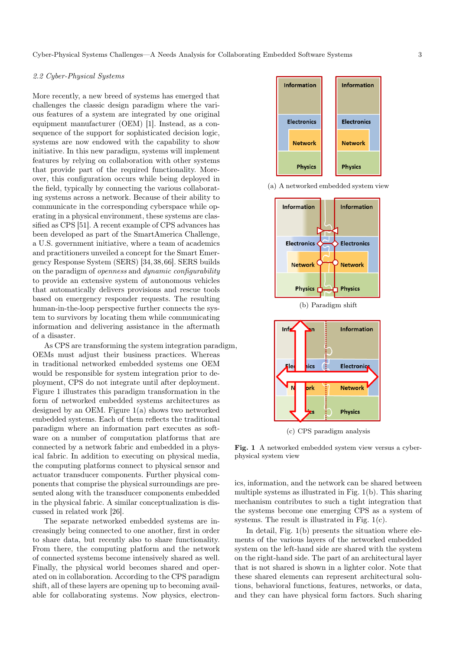#### 2.2 Cyber-Physical Systems

More recently, a new breed of systems has emerged that challenges the classic design paradigm where the various features of a system are integrated by one original equipment manufacturer (OEM) [1]. Instead, as a consequence of the support for sophisticated decision logic, systems are now endowed with the capability to show initiative. In this new paradigm, systems will implement features by relying on collaboration with other systems that provide part of the required functionality. Moreover, this configuration occurs while being deployed in the field, typically by connecting the various collaborating systems across a network. Because of their ability to communicate in the corresponding cyberspace while operating in a physical environment, these systems are classified as CPS [51]. A recent example of CPS advances has been developed as part of the SmartAmerica Challenge, a U.S. government initiative, where a team of academics and practitioners unveiled a concept for the Smart Emergency Response System (SERS) [34,38,66]. SERS builds on the paradigm of openness and dynamic configurability to provide an extensive system of autonomous vehicles that automatically delivers provisions and rescue tools based on emergency responder requests. The resulting human-in-the-loop perspective further connects the system to survivors by locating them while communicating information and delivering assistance in the aftermath of a disaster.

As CPS are transforming the system integration paradigm, OEMs must adjust their business practices. Whereas in traditional networked embedded systems one OEM would be responsible for system integration prior to deployment, CPS do not integrate until after deployment. Figure 1 illustrates this paradigm transformation in the form of networked embedded systems architectures as designed by an OEM. Figure 1(a) shows two networked embedded systems. Each of them reflects the traditional paradigm where an information part executes as software on a number of computation platforms that are connected by a network fabric and embedded in a physical fabric. In addition to executing on physical media, the computing platforms connect to physical sensor and actuator transducer components. Further physical components that comprise the physical surroundings are presented along with the transducer components embedded in the physical fabric. A similar conceptualization is discussed in related work [26].

The separate networked embedded systems are increasingly being connected to one another, first in order to share data, but recently also to share functionality. From there, the computing platform and the network of connected systems become intensively shared as well. Finally, the physical world becomes shared and operated on in collaboration. According to the CPS paradigm shift, all of these layers are opening up to becoming available for collaborating systems. Now physics, electron-



(a) A networked embedded system view



(c) CPS paradigm analysis

Fig. 1 A networked embedded system view versus a cyberphysical system view

ics, information, and the network can be shared between multiple systems as illustrated in Fig. 1(b). This sharing mechanism contributes to such a tight integration that the systems become one emerging CPS as a system of systems. The result is illustrated in Fig. 1(c).

In detail, Fig. 1(b) presents the situation where elements of the various layers of the networked embedded system on the left-hand side are shared with the system on the right-hand side. The part of an architectural layer that is not shared is shown in a lighter color. Note that these shared elements can represent architectural solutions, behavioral functions, features, networks, or data, and they can have physical form factors. Such sharing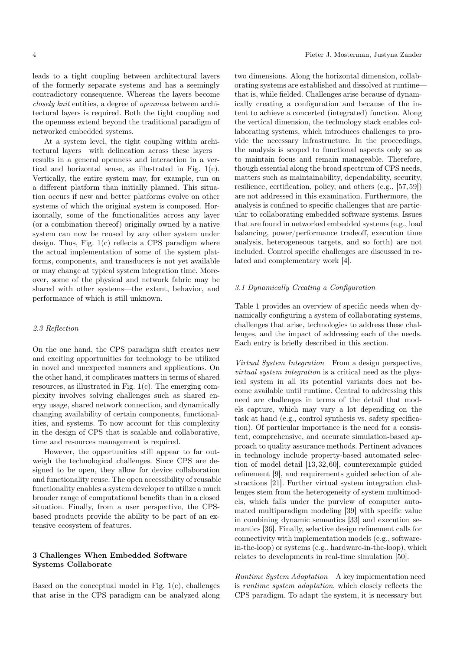leads to a tight coupling between architectural layers of the formerly separate systems and has a seemingly contradictory consequence. Whereas the layers become closely knit entities, a degree of openness between architectural layers is required. Both the tight coupling and the openness extend beyond the traditional paradigm of networked embedded systems.

At a system level, the tight coupling within architectural layers—with delineation across these layers results in a general openness and interaction in a vertical and horizontal sense, as illustrated in Fig. 1(c). Vertically, the entire system may, for example, run on a different platform than initially planned. This situation occurs if new and better platforms evolve on other systems of which the original system is composed. Horizontally, some of the functionalities across any layer (or a combination thereof) originally owned by a native system can now be reused by any other system under design. Thus, Fig. 1(c) reflects a CPS paradigm where the actual implementation of some of the system platforms, components, and transducers is not yet available or may change at typical system integration time. Moreover, some of the physical and network fabric may be shared with other systems—the extent, behavior, and performance of which is still unknown.

## 2.3 Reflection

On the one hand, the CPS paradigm shift creates new and exciting opportunities for technology to be utilized in novel and unexpected manners and applications. On the other hand, it complicates matters in terms of shared resources, as illustrated in Fig. 1(c). The emerging complexity involves solving challenges such as shared energy usage, shared network connection, and dynamically changing availability of certain components, functionalities, and systems. To now account for this complexity in the design of CPS that is scalable and collaborative, time and resources management is required.

However, the opportunities still appear to far outweigh the technological challenges. Since CPS are designed to be open, they allow for device collaboration and functionality reuse. The open accessibility of reusable functionality enables a system developer to utilize a much broader range of computational benefits than in a closed situation. Finally, from a user perspective, the CPSbased products provide the ability to be part of an extensive ecosystem of features.

# 3 Challenges When Embedded Software Systems Collaborate

Based on the conceptual model in Fig.  $1(c)$ , challenges that arise in the CPS paradigm can be analyzed along two dimensions. Along the horizontal dimension, collaborating systems are established and dissolved at runtime that is, while fielded. Challenges arise because of dynamically creating a configuration and because of the intent to achieve a concerted (integrated) function. Along the vertical dimension, the technology stack enables collaborating systems, which introduces challenges to provide the necessary infrastructure. In the proceedings, the analysis is scoped to functional aspects only so as to maintain focus and remain manageable. Therefore, though essential along the broad spectrum of CPS needs, matters such as maintainability, dependability, security, resilience, certification, policy, and others (e.g., [57,59]) are not addressed in this examination. Furthermore, the analysis is confined to specific challenges that are particular to collaborating embedded software systems. Issues that are found in networked embedded systems (e.g., load balancing, power/performance tradeoff, execution time analysis, heterogeneous targets, and so forth) are not included. Control specific challenges are discussed in related and complementary work [4].

## 3.1 Dynamically Creating a Configuration

Table 1 provides an overview of specific needs when dynamically configuring a system of collaborating systems, challenges that arise, technologies to address these challenges, and the impact of addressing each of the needs. Each entry is briefly described in this section.

Virtual System Integration From a design perspective, virtual system integration is a critical need as the physical system in all its potential variants does not become available until runtime. Central to addressing this need are challenges in terms of the detail that models capture, which may vary a lot depending on the task at hand (e.g., control synthesis vs. safety specification). Of particular importance is the need for a consistent, comprehensive, and accurate simulation-based approach to quality assurance methods. Pertinent advances in technology include property-based automated selection of model detail [13,32,60], counterexample guided refinement [9], and requirements guided selection of abstractions [21]. Further virtual system integration challenges stem from the heterogeneity of system multimodels, which falls under the purview of computer automated multiparadigm modeling [39] with specific value in combining dynamic semantics [33] and execution semantics [36]. Finally, selective design refinement calls for connectivity with implementation models (e.g., softwarein-the-loop) or systems (e.g., hardware-in-the-loop), which relates to developments in real-time simulation [50].

Runtime System Adaptation A key implementation need is runtime system adaptation, which closely reflects the CPS paradigm. To adapt the system, it is necessary but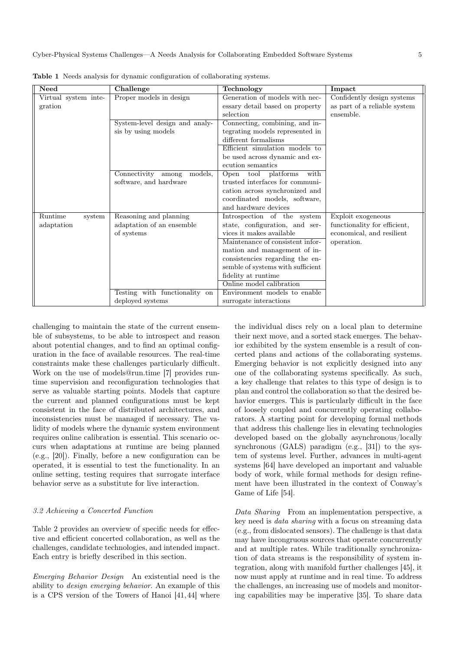| Need                 | Challenge                      | Technology                        | Impact                       |
|----------------------|--------------------------------|-----------------------------------|------------------------------|
| Virtual system inte- | Proper models in design        | Generation of models with nec-    | Confidently design systems   |
| gration              |                                | essary detail based on property   | as part of a reliable system |
|                      |                                | selection                         | ensemble.                    |
|                      | System-level design and analy- | Connecting, combining, and in-    |                              |
|                      | sis by using models            | tegrating models represented in   |                              |
|                      |                                | different formalisms              |                              |
|                      |                                | Efficient simulation models to    |                              |
|                      |                                | be used across dynamic and ex-    |                              |
|                      |                                | ecution semantics                 |                              |
|                      | Connectivity among<br>models,  | Open tool platforms<br>with       |                              |
|                      | software, and hardware         | trusted interfaces for communi-   |                              |
|                      |                                | cation across synchronized and    |                              |
|                      |                                | coordinated models, software,     |                              |
|                      |                                | and hardware devices              |                              |
| Runtime<br>system    | Reasoning and planning         | Introspection of the system       | Exploit exogeneous           |
| adaptation           | adaptation of an ensemble      | state, configuration, and ser-    | functionality for efficient, |
|                      | of systems                     | vices it makes available          | economical, and resilient    |
|                      |                                | Maintenance of consistent infor-  | operation.                   |
|                      |                                | mation and management of in-      |                              |
|                      |                                | consistencies regarding the en-   |                              |
|                      |                                | semble of systems with sufficient |                              |
|                      |                                | fidelity at runtime               |                              |
|                      |                                | Online model calibration          |                              |
|                      | Testing with functionality on  | Environment models to enable      |                              |
|                      | deployed systems               | surrogate interactions            |                              |

Table 1 Needs analysis for dynamic configuration of collaborating systems.

challenging to maintain the state of the current ensemble of subsystems, to be able to introspect and reason about potential changes, and to find an optimal configuration in the face of available resources. The real-time constraints make these challenges particularly difficult. Work on the use of models@run.time [7] provides runtime supervision and reconfiguration technologies that serve as valuable starting points. Models that capture the current and planned configurations must be kept consistent in the face of distributed architectures, and inconsistencies must be managed if necessary. The validity of models where the dynamic system environment requires online calibration is essential. This scenario occurs when adaptations at runtime are being planned (e.g., [20]). Finally, before a new configuration can be operated, it is essential to test the functionality. In an online setting, testing requires that surrogate interface behavior serve as a substitute for live interaction.

# 3.2 Achieving a Concerted Function

Table 2 provides an overview of specific needs for effective and efficient concerted collaboration, as well as the challenges, candidate technologies, and intended impact. Each entry is briefly described in this section.

Emerging Behavior Design An existential need is the ability to design emerging behavior. An example of this is a CPS version of the Towers of Hanoi [41,44] where the individual discs rely on a local plan to determine their next move, and a sorted stack emerges. The behavior exhibited by the system ensemble is a result of concerted plans and actions of the collaborating systems. Emerging behavior is not explicitly designed into any one of the collaborating systems specifically. As such, a key challenge that relates to this type of design is to plan and control the collaboration so that the desired behavior emerges. This is particularly difficult in the face of loosely coupled and concurrently operating collaborators. A starting point for developing formal methods that address this challenge lies in elevating technologies developed based on the globally asynchronous/locally synchronous (GALS) paradigm (e.g., [31]) to the system of systems level. Further, advances in multi-agent systems [64] have developed an important and valuable body of work, while formal methods for design refinement have been illustrated in the context of Conway's Game of Life [54].

Data Sharing From an implementation perspective, a key need is data sharing with a focus on streaming data (e.g., from dislocated sensors). The challenge is that data may have incongruous sources that operate concurrently and at multiple rates. While traditionally synchronization of data streams is the responsibility of system integration, along with manifold further challenges [45], it now must apply at runtime and in real time. To address the challenges, an increasing use of models and monitoring capabilities may be imperative [35]. To share data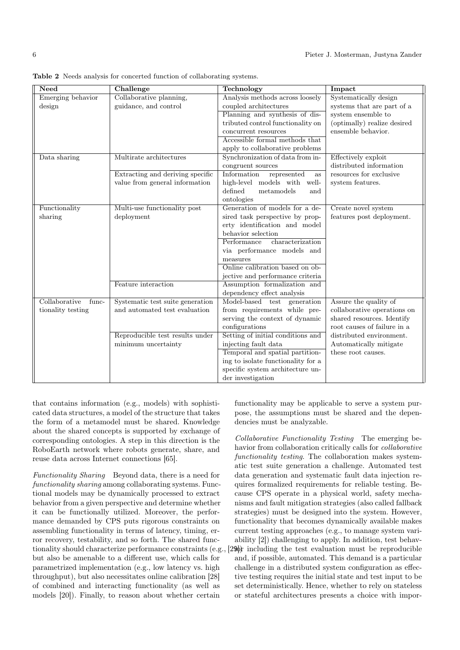| <b>Need</b>            | Challenge                        | Technology                         | Impact                      |
|------------------------|----------------------------------|------------------------------------|-----------------------------|
| Emerging behavior      | Collaborative planning,          | Analysis methods across loosely    | Systematically design       |
| design                 | guidance, and control            | coupled architectures              | systems that are part of a  |
|                        |                                  | Planning and synthesis of dis-     | system ensemble to          |
|                        |                                  | tributed control functionality on  | (optimally) realize desired |
|                        |                                  | concurrent resources               | ensemble behavior.          |
|                        |                                  | Accessible formal methods that     |                             |
|                        |                                  | apply to collaborative problems    |                             |
| Data sharing           | Multirate architectures          | Synchronization of data from in-   | Effectively exploit         |
|                        |                                  | congruent sources                  | distributed information     |
|                        | Extracting and deriving specific | Information<br>represented<br>as   | resources for exclusive     |
|                        | value from general information   | high-level models with well-       | system features.            |
|                        |                                  | defined<br>metamodels<br>and       |                             |
|                        |                                  | ontologies                         |                             |
| Functionality          | Multi-use functionality post     | Generation of models for a de-     | Create novel system         |
| sharing                | deployment                       | sired task perspective by prop-    | features post deployment.   |
|                        |                                  | erty identification and model      |                             |
|                        |                                  | behavior selection                 |                             |
|                        |                                  | Performance<br>characterization    |                             |
|                        |                                  | via performance models and         |                             |
|                        |                                  | measures                           |                             |
|                        |                                  | Online calibration based on ob-    |                             |
|                        |                                  | jective and performance criteria   |                             |
|                        | Feature interaction              | Assumption formalization and       |                             |
|                        |                                  | dependency effect analysis         |                             |
| Collaborative<br>func- | Systematic test suite generation | Model-based test generation        | Assure the quality of       |
| tionality testing      | and automated test evaluation    | from requirements while pre-       | collaborative operations on |
|                        |                                  | serving the context of dynamic     | shared resources. Identify  |
|                        |                                  | configurations                     | root causes of failure in a |
|                        | Reproducible test results under  | Setting of initial conditions and  | distributed environment.    |
|                        | minimum uncertainty              | injecting fault data               | Automatically mitigate      |
|                        |                                  | Temporal and spatial partition-    | these root causes.          |
|                        |                                  | ing to isolate functionality for a |                             |
|                        |                                  | specific system architecture un-   |                             |
|                        |                                  | der investigation                  |                             |

Table 2 Needs analysis for concerted function of collaborating systems.

that contains information (e.g., models) with sophisticated data structures, a model of the structure that takes the form of a metamodel must be shared. Knowledge about the shared concepts is supported by exchange of corresponding ontologies. A step in this direction is the RoboEarth network where robots generate, share, and reuse data across Internet connections [65].

Functionality Sharing Beyond data, there is a need for functionality sharing among collaborating systems. Functional models may be dynamically processed to extract behavior from a given perspective and determine whether it can be functionally utilized. Moreover, the performance demanded by CPS puts rigorous constraints on assembling functionality in terms of latency, timing, error recovery, testability, and so forth. The shared functionality should characterize performance constraints (e.g.,  $[29\phi]$ ) including the test evaluation must be reproducible but also be amenable to a different use, which calls for parametrized implementation (e.g., low latency vs. high throughput), but also necessitates online calibration [28] of combined and interacting functionality (as well as models [20]). Finally, to reason about whether certain

functionality may be applicable to serve a system purpose, the assumptions must be shared and the dependencies must be analyzable.

Collaborative Functionality Testing The emerging behavior from collaboration critically calls for collaborative functionality testing. The collaboration makes systematic test suite generation a challenge. Automated test data generation and systematic fault data injection requires formalized requirements for reliable testing. Because CPS operate in a physical world, safety mechanisms and fault mitigation strategies (also called fallback strategies) must be designed into the system. However, functionality that becomes dynamically available makes current testing approaches (e.g., to manage system variability [2]) challenging to apply. In addition, test behav-

and, if possible, automated. This demand is a particular challenge in a distributed system configuration as effective testing requires the initial state and test input to be set deterministically. Hence, whether to rely on stateless or stateful architectures presents a choice with impor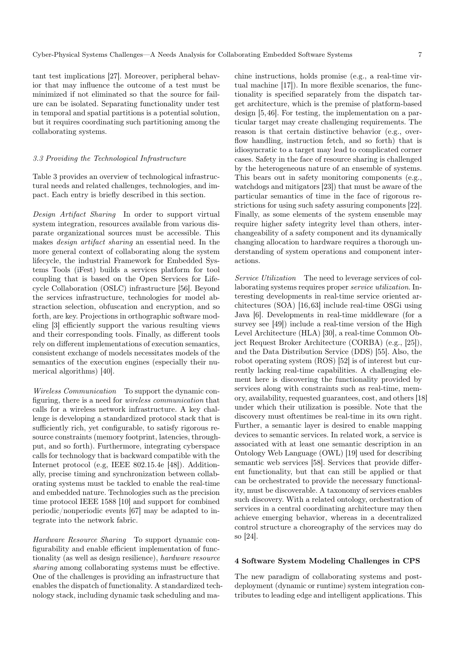tant test implications [27]. Moreover, peripheral behavior that may influence the outcome of a test must be minimized if not eliminated so that the source for failure can be isolated. Separating functionality under test in temporal and spatial partitions is a potential solution, but it requires coordinating such partitioning among the collaborating systems.

#### 3.3 Providing the Technological Infrastructure

Table 3 provides an overview of technological infrastructural needs and related challenges, technologies, and impact. Each entry is briefly described in this section.

Design Artifact Sharing In order to support virtual system integration, resources available from various disparate organizational sources must be accessible. This makes design artifact sharing an essential need. In the more general context of collaborating along the system lifecycle, the industrial Framework for Embedded Systems Tools (iFest) builds a services platform for tool coupling that is based on the Open Services for Lifecycle Collaboration (OSLC) infrastructure [56]. Beyond the services infrastructure, technologies for model abstraction selection, obfuscation and encryption, and so forth, are key. Projections in orthographic software modeling [3] efficiently support the various resulting views and their corresponding tools. Finally, as different tools rely on different implementations of execution semantics, consistent exchange of models necessitates models of the semantics of the execution engines (especially their numerical algorithms) [40].

Wireless Communication To support the dynamic configuring, there is a need for wireless communication that calls for a wireless network infrastructure. A key challenge is developing a standardized protocol stack that is sufficiently rich, yet configurable, to satisfy rigorous resource constraints (memory footprint, latencies, throughput, and so forth). Furthermore, integrating cyberspace calls for technology that is backward compatible with the Internet protocol (e.g, IEEE 802.15.4e [48]). Additionally, precise timing and synchronization between collaborating systems must be tackled to enable the real-time and embedded nature. Technologies such as the precision time protocol IEEE 1588 [10] and support for combined periodic/nonperiodic events [67] may be adapted to integrate into the network fabric.

Hardware Resource Sharing To support dynamic configurability and enable efficient implementation of functionality (as well as design resilience), hardware resource sharing among collaborating systems must be effective. One of the challenges is providing an infrastructure that enables the dispatch of functionality. A standardized technology stack, including dynamic task scheduling and machine instructions, holds promise (e.g., a real-time virtual machine [17]). In more flexible scenarios, the functionality is specified separately from the dispatch target architecture, which is the premise of platform-based design [5,46]. For testing, the implementation on a particular target may create challenging requirements. The reason is that certain distinctive behavior (e.g., overflow handling, instruction fetch, and so forth) that is idiosyncratic to a target may lead to complicated corner cases. Safety in the face of resource sharing is challenged by the heterogeneous nature of an ensemble of systems. This bears out in safety monitoring components (e.g., watchdogs and mitigators [23]) that must be aware of the particular semantics of time in the face of rigorous restrictions for using such safety assuring components [22]. Finally, as some elements of the system ensemble may require higher safety integrity level than others, interchangeability of a safety component and its dynamically changing allocation to hardware requires a thorough understanding of system operations and component interactions.

Service Utilization The need to leverage services of collaborating systems requires proper service utilization. Interesting developments in real-time service oriented architectures (SOA) [16,63] include real-time OSGi using Java [6]. Developments in real-time middleware (for a survey see [49]) include a real-time version of the High Level Architecture (HLA) [30], a real-time Common Object Request Broker Architecture (CORBA) (e.g., [25]), and the Data Distribution Service (DDS) [55]. Also, the robot operating system (ROS) [52] is of interest but currently lacking real-time capabilities. A challenging element here is discovering the functionality provided by services along with constraints such as real-time, memory, availability, requested guarantees, cost, and others [18] under which their utilization is possible. Note that the discovery must oftentimes be real-time in its own right. Further, a semantic layer is desired to enable mapping devices to semantic services. In related work, a service is associated with at least one semantic description in an Ontology Web Language (OWL) [19] used for describing semantic web services [58]. Services that provide different functionality, but that can still be applied or that can be orchestrated to provide the necessary functionality, must be discoverable. A taxonomy of services enables such discovery. With a related ontology, orchestration of services in a central coordinating architecture may then achieve emerging behavior, whereas in a decentralized control structure a choreography of the services may do so [24].

#### 4 Software System Modeling Challenges in CPS

The new paradigm of collaborating systems and postdeployment (dynamic or runtime) system integration contributes to leading edge and intelligent applications. This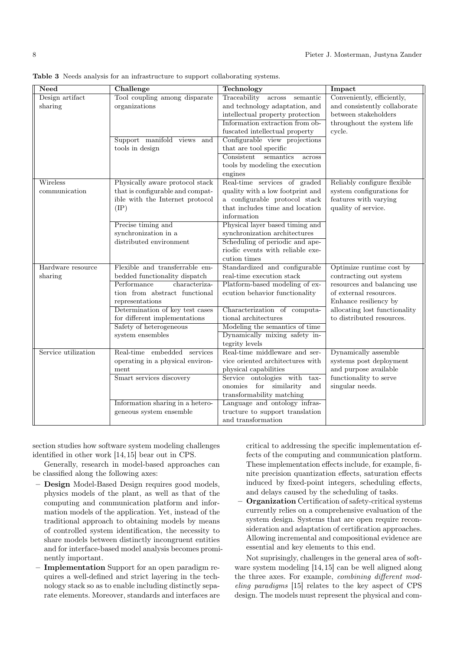| Need                | Challenge                        | Technology                            | Impact                        |
|---------------------|----------------------------------|---------------------------------------|-------------------------------|
| Design artifact     | Tool coupling among disparate    | Traceability<br>$\arccos$<br>semantic | Conveniently, efficiently,    |
| sharing             | organizations                    | and technology adaptation, and        | and consistently collaborate  |
|                     |                                  | intellectual property protection      | between stakeholders          |
|                     |                                  | Information extraction from ob-       | throughout the system life    |
|                     |                                  | fuscated intellectual property        | cycle.                        |
|                     | Support manifold views and       | Configurable view projections         |                               |
|                     | tools in design                  | that are tool specific                |                               |
|                     |                                  | semantics<br>Consistent<br>across     |                               |
|                     |                                  | tools by modeling the execution       |                               |
|                     |                                  | engines                               |                               |
| Wireless            | Physically aware protocol stack  | Real-time services of graded          | Reliably configure flexible   |
| communication       | that is configurable and compat- | quality with a low footprint and      | system configurations for     |
|                     | ible with the Internet protocol  | a configurable protocol stack         | features with varying         |
|                     | $(\text{IP})$                    | that includes time and location       | quality of service.           |
|                     |                                  | information                           |                               |
|                     | Precise timing and               | Physical layer based timing and       |                               |
|                     | synchronization in a             | synchronization architectures         |                               |
|                     | distributed environment          | Scheduling of periodic and ape-       |                               |
|                     |                                  | riodic events with reliable exe-      |                               |
|                     |                                  | cution times                          |                               |
| Hardware resource   | Flexible and transferrable em-   | Standardized and configurable         | Optimize runtime cost by      |
| sharing             | bedded functionality dispatch    | real-time execution stack             | contracting out system        |
|                     | Performance<br>characteriza-     | Platform-based modeling of ex-        | resources and balancing use   |
|                     | tion from abstract functional    | ecution behavior functionality        | of external resources.        |
|                     | representations                  |                                       | Enhance resiliency by         |
|                     | Determination of key test cases  | Characterization of computa-          | allocating lost functionality |
|                     | for different implementations    | tional architectures                  | to distributed resources.     |
|                     | Safety of heterogeneous          | Modeling the semantics of time        |                               |
|                     | system ensembles                 | Dynamically mixing safety in-         |                               |
|                     |                                  | tegrity levels                        |                               |
| Service utilization | Real-time embedded services      | Real-time middleware and ser-         | Dynamically assemble          |
|                     | operating in a physical environ- | vice oriented architectures with      | systems post deployment       |
|                     | ment                             | physical capabilities                 | and purpose available         |
|                     | Smart services discovery         | Service ontologies with<br>tax-       | functionality to serve        |
|                     |                                  | onomies for similarity<br>and         | singular needs.               |
|                     |                                  | transformability matching             |                               |
|                     | Information sharing in a hetero- | Language and ontology infras-         |                               |
|                     | geneous system ensemble          | tructure to support translation       |                               |
|                     |                                  | and transformation                    |                               |

Table 3 Needs analysis for an infrastructure to support collaborating systems.

section studies how software system modeling challenges identified in other work [14,15] bear out in CPS.

Generally, research in model-based approaches can be classified along the following axes:

- Design Model-Based Design requires good models, physics models of the plant, as well as that of the computing and communication platform and information models of the application. Yet, instead of the traditional approach to obtaining models by means of controlled system identification, the necessity to share models between distinctly incongruent entities and for interface-based model analysis becomes prominently important.
- Implementation Support for an open paradigm requires a well-defined and strict layering in the technology stack so as to enable including distinctly separate elements. Moreover, standards and interfaces are

critical to addressing the specific implementation effects of the computing and communication platform. These implementation effects include, for example, finite precision quantization effects, saturation effects induced by fixed-point integers, scheduling effects, and delays caused by the scheduling of tasks.

– Organization Certification of safety-critical systems currently relies on a comprehensive evaluation of the system design. Systems that are open require reconsideration and adaptation of certification approaches. Allowing incremental and compositional evidence are essential and key elements to this end.

Not suprisingly, challenges in the general area of software system modeling [14,15] can be well aligned along the three axes. For example, combining different modeling paradigms [15] relates to the key aspect of CPS design. The models must represent the physical and com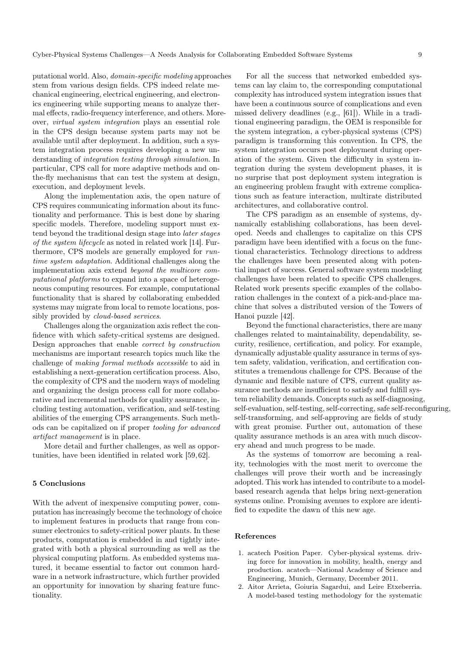putational world. Also, domain-specific modeling approaches stem from various design fields. CPS indeed relate mechanical engineering, electrical engineering, and electronics engineering while supporting means to analyze thermal effects, radio-frequency interference, and others. Moreover, virtual system integration plays an essential role in the CPS design because system parts may not be available until after deployment. In addition, such a system integration process requires developing a new understanding of integration testing through simulation. In particular, CPS call for more adaptive methods and onthe-fly mechanisms that can test the system at design, execution, and deployment levels.

Along the implementation axis, the open nature of CPS requires communicating information about its functionality and performance. This is best done by sharing specific models. Therefore, modeling support must extend beyond the traditional design stage into later stages of the system lifecycle as noted in related work [14]. Furthermore, CPS models are generally employed for runtime system adaptation. Additional challenges along the implementation axis extend beyond the multicore computational platforms to expand into a space of heterogeneous computing resources. For example, computational functionality that is shared by collaborating embedded systems may migrate from local to remote locations, possibly provided by cloud-based services.

Challenges along the organization axis reflect the confidence with which safety-critical systems are designed. Design approaches that enable correct by construction mechanisms are important research topics much like the challenge of making formal methods accessible to aid in establishing a next-generation certification process. Also, the complexity of CPS and the modern ways of modeling and organizing the design process call for more collaborative and incremental methods for quality assurance, including testing automation, verification, and self-testing abilities of the emerging CPS arrangements. Such methods can be capitalized on if proper tooling for advanced artifact management is in place.

More detail and further challenges, as well as opportunities, have been identified in related work [59,62].

# 5 Conclusions

With the advent of inexpensive computing power, computation has increasingly become the technology of choice to implement features in products that range from consumer electronics to safety-critical power plants. In these products, computation is embedded in and tightly integrated with both a physical surrounding as well as the physical computing platform. As embedded systems matured, it became essential to factor out common hardware in a network infrastructure, which further provided an opportunity for innovation by sharing feature functionality.

For all the success that networked embedded systems can lay claim to, the corresponding computational complexity has introduced system integration issues that have been a continuous source of complications and even missed delivery deadlines (e.g., [61]). While in a traditional engineering paradigm, the OEM is responsible for the system integration, a cyber-physical systems (CPS) paradigm is transforming this convention. In CPS, the system integration occurs post deployment during operation of the system. Given the difficulty in system integration during the system development phases, it is no surprise that post deployment system integration is an engineering problem fraught with extreme complications such as feature interaction, multirate distributed architectures, and collaborative control.

The CPS paradigm as an ensemble of systems, dynamically establishing collaborations, has been developed. Needs and challenges to capitalize on this CPS paradigm have been identified with a focus on the functional characteristics. Technology directions to address the challenges have been presented along with potential impact of success. General software system modeling challenges have been related to specific CPS challenges. Related work presents specific examples of the collaboration challenges in the context of a pick-and-place machine that solves a distributed version of the Towers of Hanoi puzzle [42].

Beyond the functional characteristics, there are many challenges related to maintainability, dependability, security, resilience, certification, and policy. For example, dynamically adjustable quality assurance in terms of system safety, validation, verification, and certification constitutes a tremendous challenge for CPS. Because of the dynamic and flexible nature of CPS, current quality assurance methods are insufficient to satisfy and fulfill system reliability demands. Concepts such as self-diagnosing, self-evaluation, self-testing, self-correcting, safe self-reconfiguring, self-transforming, and self-approving are fields of study with great promise. Further out, automation of these quality assurance methods is an area with much discovery ahead and much progress to be made.

As the systems of tomorrow are becoming a reality, technologies with the most merit to overcome the challenges will prove their worth and be increasingly adopted. This work has intended to contribute to a modelbased research agenda that helps bring next-generation systems online. Promising avenues to explore are identified to expedite the dawn of this new age.

#### References

- 1. acatech Position Paper. Cyber-physical systems. driving force for innovation in mobility, health, energy and production. acatech—National Academy of Science and Engineering, Munich, Germany, December 2011.
- 2. Aitor Arrieta, Goiuria Sagardui, and Leire Etxeberria. A model-based testing methodology for the systematic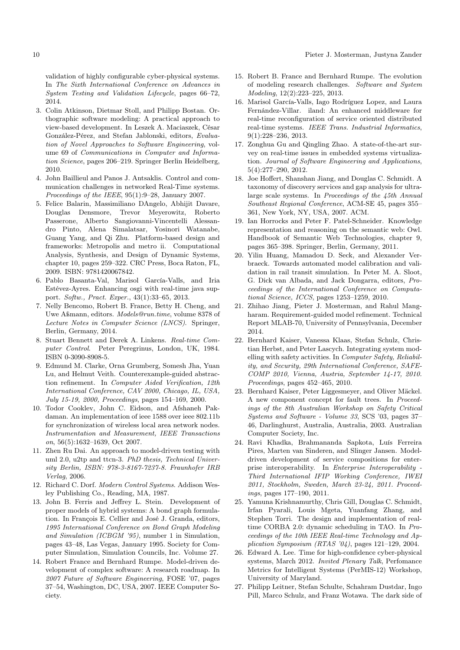validation of highly configurable cyber-physical systems. In The Sixth International Conference on Advances in System Testing and Validation Lifecycle, pages 66–72, 2014.

- 3. Colin Atkinson, Dietmar Stoll, and Philipp Bostan. Orthographic software modeling: A practical approach to view-based development. In Leszek A. Maciaszek, César González-Pérez, and Stefan Jablonski, editors, Evaluation of Novel Approaches to Software Engineering, volume 69 of Communications in Computer and Information Science, pages 206–219. Springer Berlin Heidelberg, 2010.
- 4. John Baillieul and Panos J. Antsaklis. Control and communication challenges in networked Real-Time systems. Proceedings of the IEEE, 95(1):9–28, January 2007.
- 5. Felice Balarin, Massimiliano DAngelo, Abhijit Davare, Douglas Densmore, Trevor Meyerowitz, Roberto Passerone, Alberto Sangiovanni-Vincentelli Alessandro Pinto, Alena Simalatsar, Yosinori Watanabe, Guang Yang, and Qi Zhu. Platform-based design and frameworks: Metropolis and metro ii. Computational Analysis, Synthesis, and Design of Dynamic Systems, chapter 10, pages 259–322. CRC Press, Boca Raton, FL, 2009. ISBN: 9781420067842.
- 6. Pablo Basanta-Val, Marisol García-Valls, and Iria Estévez-Ayres. Enhancing osgi with real-time java support. Softw., Pract. Exper., 43(1):33–65, 2013.
- 7. Nelly Bencomo, Robert B. France, Betty H. Cheng, and Uwe Aßmann, editors. Models@run.time, volume 8378 of Lecture Notes in Computer Science (LNCS). Springer, Berlin, Germany, 2014.
- 8. Stuart Bennett and Derek A. Linkens. Real-time Computer Control. Peter Peregrinus, London, UK, 1984. ISBN 0-3090-8908-5.
- 9. Edmund M. Clarke, Orna Grumberg, Somesh Jha, Yuan Lu, and Helmut Veith. Counterexample-guided abstraction refinement. In Computer Aided Verification, 12th International Conference, CAV 2000, Chicago, IL, USA, July 15-19, 2000, Proceedings, pages 154–169, 2000.
- 10. Todor Cooklev, John C. Eidson, and Afshaneh Pakdaman. An implementation of ieee 1588 over ieee 802.11b for synchronization of wireless local area network nodes. Instrumentation and Measurement, IEEE Transactions on, 56(5):1632–1639, Oct 2007.
- 11. Zhen Ru Dai. An approach to model-driven testing with uml 2.0, u2tp and ttcn-3. PhD thesis, Technical University Berlin, ISBN: 978-3-8167-7237-8. Fraunhofer IRB Verlag, 2006.
- 12. Richard C. Dorf. Modern Control Systems. Addison Wesley Publishing Co., Reading, MA, 1987.
- 13. John B. Ferris and Jeffrey L. Stein. Development of proper models of hybrid systems: A bond graph formulation. In François E. Cellier and José J. Granda, editors, 1995 International Conference on Bond Graph Modeling and Simulation (ICBGM '95), number 1 in Simulation, pages 43–48, Las Vegas, January 1995. Society for Computer Simulation, Simulation Councils, Inc. Volume 27.
- 14. Robert France and Bernhard Rumpe. Model-driven development of complex software: A research roadmap. In 2007 Future of Software Engineering, FOSE '07, pages 37–54, Washington, DC, USA, 2007. IEEE Computer Society.
- 15. Robert B. France and Bernhard Rumpe. The evolution of modeling research challenges. Software and System Modeling, 12(2):223–225, 2013.
- 16. Marisol García-Valls, Iago Rodríguez Lopez, and Laura Fernández-Villar. iland: An enhanced middleware for real-time reconfiguration of service oriented distributed real-time systems. IEEE Trans. Industrial Informatics, 9(1):228–236, 2013.
- 17. Zonghua Gu and Qingling Zhao. A state-of-the-art survey on real-time issues in embedded systems virtualization. Journal of Software Engineering and Applications, 5(4):277–290, 2012.
- 18. Joe Hoffert, Shanshan Jiang, and Douglas C. Schmidt. A taxonomy of discovery services and gap analysis for ultralarge scale systems. In Proceedings of the 45th Annual Southeast Regional Conference, ACM-SE 45, pages 355– 361, New York, NY, USA, 2007. ACM.
- 19. Ian Horrocks and Peter F. Patel-Schneider. Knowledge representation and reasoning on the semantic web: Owl. Handbook of Semantic Web Technologies, chapter 9, pages 365–398. Springer, Berlin, Germany, 2011.
- 20. Yilin Huang, Mamadou D. Seck, and Alexander Verbraeck. Towards automated model calibration and validation in rail transit simulation. In Peter M. A. Sloot, G. Dick van Albada, and Jack Dongarra, editors, Proceedings of the International Conference on Computational Science, ICCS, pages 1253–1259, 2010.
- 21. Zhihao Jiang, Pieter J. Mosterman, and Rahul Mangharam. Requirement-guided model refinement. Technical Report MLAB-70, University of Pennsylvania, December 2014.
- 22. Bernhard Kaiser, Vanessa Klaas, Stefan Schulz, Christian Herbst, and Peter Lascych. Integrating system modelling with safety activities. In Computer Safety, Reliability, and Security, 29th International Conference, SAFE-COMP 2010, Vienna, Austria, September 14-17, 2010. Proceedings, pages 452–465, 2010.
- 23. Bernhard Kaiser, Peter Liggesmeyer, and Oliver Mäckel. A new component concept for fault trees. In Proceedings of the 8th Australian Workshop on Safety Critical Systems and Software - Volume 33, SCS '03, pages 37– 46, Darlinghurst, Australia, Australia, 2003. Australian Computer Society, Inc.
- 24. Ravi Khadka, Brahmananda Sapkota, Luís Ferreira Pires, Marten van Sinderen, and Slinger Jansen. Modeldriven development of service compositions for enterprise interoperability. In Enterprise Interoperability - Third International IFIP Working Conference, IWEI 2011, Stockholm, Sweden, March 23-24, 2011. Proceedings, pages 177–190, 2011.
- 25. Yamuna Krishnamurthy, Chris Gill, Douglas C. Schmidt, Irfan Pyarali, Louis Mgeta, Yuanfang Zhang, and Stephen Torri. The design and implementation of realtime CORBA 2.0: dynamic scheduling in TAO. In Proceedings of the 10th IEEE Real-time Technology and Application Symposium (RTAS '04), pages 121–129, 2004.
- 26. Edward A. Lee. Time for high-confidence cyber-physical systems, March 2012. Invited Plenary Talk, Perfomance Metrics for Intelligent Systems (PerMIS-12) Workshop, University of Maryland.
- 27. Philipp Leitner, Stefan Schulte, Schahram Dustdar, Ingo Pill, Marco Schulz, and Franz Wotawa. The dark side of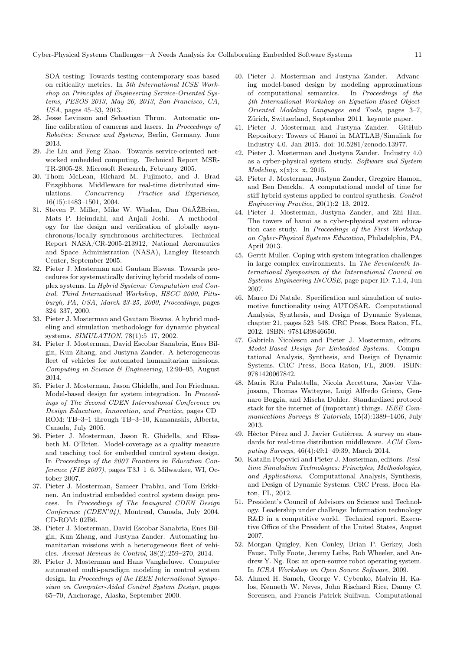SOA testing: Towards testing contemporary soas based on criticality metrics. In 5th International ICSE Workshop on Principles of Engineering Service-Oriented Systems, PESOS 2013, May 26, 2013, San Francisco, CA, USA, pages 45–53, 2013.

- 28. Jesse Levinson and Sebastian Thrun. Automatic online calibration of cameras and lasers. In Proceedings of Robotics: Science and Systems, Berlin, Germany, June 2013.
- 29. Jie Liu and Feng Zhao. Towards service-oriented networked embedded computing. Technical Report MSR-TR-2005-28, Microsoft Research, February 2005.
- 30. Thom McLean, Richard M. Fujimoto, and J. Brad Fitzgibbons. Middleware for real-time distributed simulations. Concurrency - Practice and Experience, 16(15):1483–1501, 2004.
- 31. Steven P. Miller, Mike W. Whalen, Dan OâĂŹBrien, Mats P. Heimdahl, and Anjali Joshi. A methodology for the design and verification of globally asynchronous/locally synchronous architectures. Technical Report NASA/CR-2005-213912, National Aeronautics and Space Administration (NASA), Langley Research Center, September 2005.
- 32. Pieter J. Mosterman and Gautam Biswas. Towards procedures for systematically deriving hybrid models of complex systems. In Hybrid Systems: Computation and Control, Third International Workshop, HSCC 2000, Pittsburgh, PA, USA, March 23-25, 2000, Proceedings, pages 324–337, 2000.
- 33. Pieter J. Mosterman and Gautam Biswas. A hybrid modeling and simulation methodology for dynamic physical systems. SIMULATION, 78(1):5–17, 2002.
- 34. Pieter J. Mosterman, David Escobar Sanabria, Enes Bilgin, Kun Zhang, and Justyna Zander. A heterogeneous fleet of vehicles for automated humanitarian missions. Computing in Science & Engineering, 12:90–95, August 2014.
- 35. Pieter J. Mosterman, Jason Ghidella, and Jon Friedman. Model-based design for system integration. In Proceedings of The Second CDEN International Conference on Design Education, Innovation, and Practice, pages CD– ROM: TB–3–1 through TB–3–10, Kananaskis, Alberta, Canada, July 2005.
- 36. Pieter J. Mosterman, Jason R. Ghidella, and Elisabeth M. O'Brien. Model-coverage as a quality measure and teaching tool for embedded control system design. In Proceedings of the 2007 Frontiers in Education Conference (FIE 2007), pages T3J–1–6, Milwaukee, WI, October 2007.
- 37. Pieter J. Mosterman, Sameer Prabhu, and Tom Erkkinen. An industrial embedded control system design process. In Proceedings of The Inaugural CDEN Design Conference (CDEN'04), Montreal, Canada, July 2004. CD-ROM: 02B6.
- 38. Pieter J. Mosterman, David Escobar Sanabria, Enes Bilgin, Kun Zhang, and Justyna Zander. Automating humanitarian missions with a heterogeneous fleet of vehicles. Annual Reviews in Control, 38(2):259–270, 2014.
- 39. Pieter J. Mosterman and Hans Vangheluwe. Computer automated multi-paradigm modeling in control system design. In Proceedings of the IEEE International Symposium on Computer-Aided Control System Design, pages 65–70, Anchorage, Alaska, September 2000.
- 40. Pieter J. Mosterman and Justyna Zander. Advancing model-based design by modeling approximations of computational semantics. In Proceedings of the 4th International Workshop on Equation-Based Object-Oriented Modeling Languages and Tools, pages 3–7, Zürich, Switzerland, September 2011. keynote paper.
- 41. Pieter J. Mosterman and Justyna Zander. GitHub Repository: Towers of Hanoi in MATLAB/Simulink for Industry 4.0. Jan 2015. doi: 10.5281/zenodo.13977.
- 42. Pieter J. Mosterman and Justyna Zander. Industry 4.0 as a cyber-physical system study. Software and System  $Modeling, x(x):x-x, 2015.$
- 43. Pieter J. Mosterman, Justyna Zander, Gregoire Hamon, and Ben Denckla. A computational model of time for stiff hybrid systems applied to control synthesis. Control Engineering Practice, 20(1):2–13, 2012.
- 44. Pieter J. Mosterman, Justyna Zander, and Zhi Han. The towers of hanoi as a cyber-physical system education case study. In Proceedings of the First Workshop on Cyber-Physical Systems Education, Philadelphia, PA, April 2013.
- 45. Gerrit Muller. Coping with system integration challenges in large complex environments. In The Seventeenth International Symposium of the International Council on Systems Engineering INCOSE, page paper ID: 7.1.4, Jun 2007.
- 46. Marco Di Natale. Specification and simulation of automotive functionality using AUTOSAR. Computational Analysis, Synthesis, and Design of Dynamic Systems, chapter 21, pages 523–548. CRC Press, Boca Raton, FL, 2012. ISBN: 9781439846650.
- 47. Gabriela Nicolescu and Pieter J. Mosterman, editors. Model-Based Design for Embedded Systems. Computational Analysis, Synthesis, and Design of Dynamic Systems. CRC Press, Boca Raton, FL, 2009. ISBN: 9781420067842.
- 48. Maria Rita Palattella, Nicola Accettura, Xavier Vilajosana, Thomas Watteyne, Luigi Alfredo Grieco, Gennaro Boggia, and Mischa Dohler. Standardized protocol stack for the internet of (important) things. IEEE Communications Surveys & Tutorials, 15(3):1389–1406, July 2013.
- 49. Héctor Pérez and J. Javier Gutiérrez. A survey on standards for real-time distribution middleware. ACM Computing Surveys, 46(4):49:1–49:39, March 2014.
- 50. Katalin Popovici and Pieter J. Mosterman, editors. Realtime Simulation Technologies: Principles, Methodologies, and Applications. Computational Analysis, Synthesis, and Design of Dynamic Systems. CRC Press, Boca Raton, FL, 2012.
- 51. President's Council of Advisors on Science and Technology. Leadership under challenge: Information technology R&D in a competitive world. Technical report, Executive Office of the President of the United States, August 2007.
- 52. Morgan Quigley, Ken Conley, Brian P. Gerkey, Josh Faust, Tully Foote, Jeremy Leibs, Rob Wheeler, and Andrew Y. Ng. Ros: an open-source robot operating system. In ICRA Workshop on Open Source Software, 2009.
- 53. Ahmed H. Sameh, George V. Cybenko, Malvin H. Kalos, Kenneth W. Neves, John Rischard Rice, Danny C. Sorensen, and Francis Patrick Sullivan. Computational